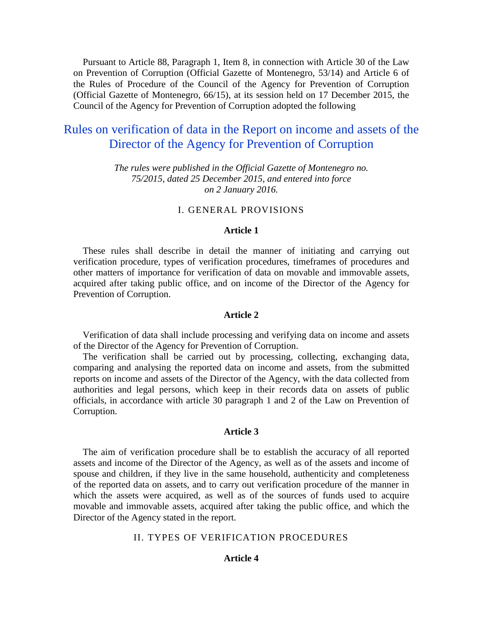Pursuant to Article 88, Paragraph 1, Item 8, in connection with Article 30 of the Law on Prevention of Corruption (Official Gazette of Montenegro, 53/14) and Article 6 of the Rules of Procedure of the Council of the Agency for Prevention of Corruption (Official Gazette of Montenegro, 66/15), at its session held on 17 December 2015, the Council of the Agency for Prevention of Corruption adopted the following

# Rules on verification of data in the Report on income and assets of the Director of the Agency for Prevention of Corruption

*The rules were published in the Official Gazette of Montenegro no. 75/2015, dated 25 December 2015, and entered into force on 2 January 2016.*

# I. GENERAL PROVISIONS

# **Article 1**

These rules shall describe in detail the manner of initiating and carrying out verification procedure, types of verification procedures, timeframes of procedures and other matters of importance for verification of data on movable and immovable assets, acquired after taking public office, and on income of the Director of the Agency for Prevention of Corruption.

#### **Article 2**

Verification of data shall include processing and verifying data on income and assets of the Director of the Agency for Prevention of Corruption.

The verification shall be carried out by processing, collecting, exchanging data, comparing and analysing the reported data on income and assets, from the submitted reports on income and assets of the Director of the Agency, with the data collected from authorities and legal persons, which keep in their records data on assets of public officials, in accordance with article 30 paragraph 1 and 2 of the Law on Prevention of Corruption.

#### **Article 3**

The aim of verification procedure shall be to establish the accuracy of all reported assets and income of the Director of the Agency, as well as of the assets and income of spouse and children, if they live in the same household, authenticity and completeness of the reported data on assets, and to carry out verification procedure of the manner in which the assets were acquired, as well as of the sources of funds used to acquire movable and immovable assets, acquired after taking the public office, and which the Director of the Agency stated in the report.

# II. TYPES OF VERIFICATION PROCEDURES

# **Article 4**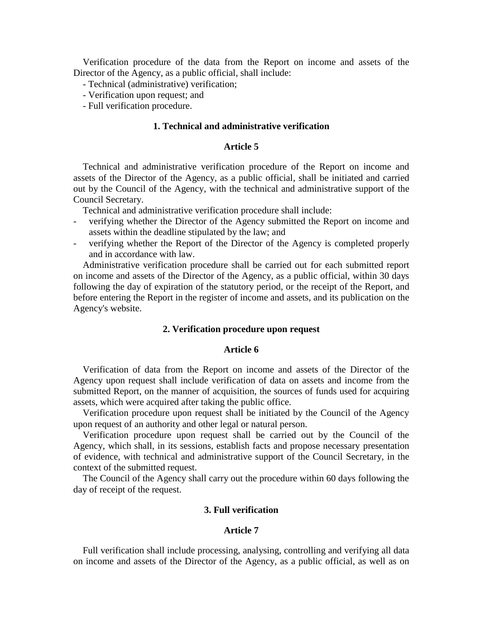Verification procedure of the data from the Report on income and assets of the Director of the Agency, as a public official, shall include:

- Technical (administrative) verification;
- Verification upon request; and
- Full verification procedure.

# **1. Technical and administrative verification**

#### **Article 5**

Technical and administrative verification procedure of the Report on income and assets of the Director of the Agency, as a public official, shall be initiated and carried out by the Council of the Agency, with the technical and administrative support of the Council Secretary.

Technical and administrative verification procedure shall include:

- verifying whether the Director of the Agency submitted the Report on income and assets within the deadline stipulated by the law; and
- verifying whether the Report of the Director of the Agency is completed properly and in accordance with law.

Administrative verification procedure shall be carried out for each submitted report on income and assets of the Director of the Agency, as a public official, within 30 days following the day of expiration of the statutory period, or the receipt of the Report, and before entering the Report in the register of income and assets, and its publication on the Agency's website.

### **2. Verification procedure upon request**

#### **Article 6**

Verification of data from the Report on income and assets of the Director of the Agency upon request shall include verification of data on assets and income from the submitted Report, on the manner of acquisition, the sources of funds used for acquiring assets, which were acquired after taking the public office.

Verification procedure upon request shall be initiated by the Council of the Agency upon request of an authority and other legal or natural person.

Verification procedure upon request shall be carried out by the Council of the Agency, which shall, in its sessions, establish facts and propose necessary presentation of evidence, with technical and administrative support of the Council Secretary, in the context of the submitted request.

The Council of the Agency shall carry out the procedure within 60 days following the day of receipt of the request.

# **3. Full verification**

#### **Article 7**

Full verification shall include processing, analysing, controlling and verifying all data on income and assets of the Director of the Agency, as a public official, as well as on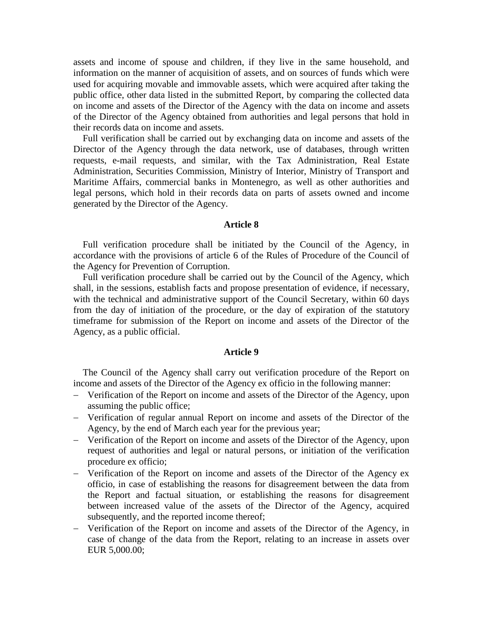assets and income of spouse and children, if they live in the same household, and information on the manner of acquisition of assets, and on sources of funds which were used for acquiring movable and immovable assets, which were acquired after taking the public office, other data listed in the submitted Report, by comparing the collected data on income and assets of the Director of the Agency with the data on income and assets of the Director of the Agency obtained from authorities and legal persons that hold in their records data on income and assets.

Full verification shall be carried out by exchanging data on income and assets of the Director of the Agency through the data network, use of databases, through written requests, e-mail requests, and similar, with the Tax Administration, Real Estate Administration, Securities Commission, Ministry of Interior, Ministry of Transport and Maritime Affairs, commercial banks in Montenegro, as well as other authorities and legal persons, which hold in their records data on parts of assets owned and income generated by the Director of the Agency.

#### **Article 8**

Full verification procedure shall be initiated by the Council of the Agency, in accordance with the provisions of article 6 of the Rules of Procedure of the Council of the Agency for Prevention of Corruption.

Full verification procedure shall be carried out by the Council of the Agency, which shall, in the sessions, establish facts and propose presentation of evidence, if necessary, with the technical and administrative support of the Council Secretary, within 60 days from the day of initiation of the procedure, or the day of expiration of the statutory timeframe for submission of the Report on income and assets of the Director of the Agency, as a public official.

# **Article 9**

The Council of the Agency shall carry out verification procedure of the Report on income and assets of the Director of the Agency ex officio in the following manner:

- Verification of the Report on income and assets of the Director of the Agency, upon assuming the public office;
- Verification of regular annual Report on income and assets of the Director of the Agency, by the end of March each year for the previous year;
- Verification of the Report on income and assets of the Director of the Agency, upon request of authorities and legal or natural persons, or initiation of the verification procedure ex officio;
- Verification of the Report on income and assets of the Director of the Agency ex officio, in case of establishing the reasons for disagreement between the data from the Report and factual situation, or establishing the reasons for disagreement between increased value of the assets of the Director of the Agency, acquired subsequently, and the reported income thereof;
- Verification of the Report on income and assets of the Director of the Agency, in case of change of the data from the Report, relating to an increase in assets over EUR 5,000.00;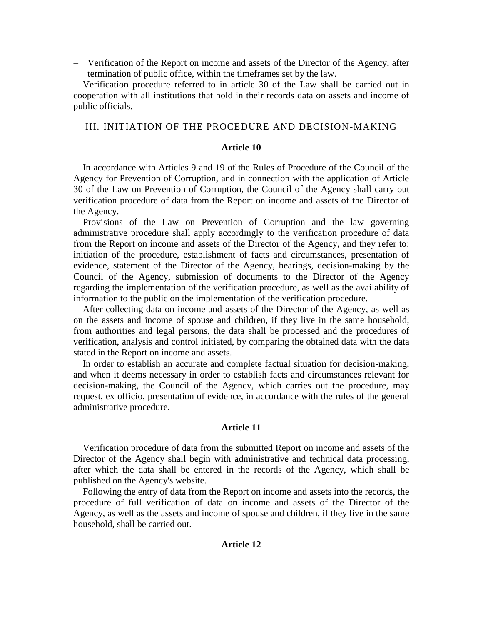Verification of the Report on income and assets of the Director of the Agency, after termination of public office, within the timeframes set by the law.

Verification procedure referred to in article 30 of the Law shall be carried out in cooperation with all institutions that hold in their records data on assets and income of public officials.

### III. INITIATION OF THE PROCEDURE AND DECISION-MAKING

# **Article 10**

In accordance with Articles 9 and 19 of the Rules of Procedure of the Council of the Agency for Prevention of Corruption, and in connection with the application of Article 30 of the Law on Prevention of Corruption, the Council of the Agency shall carry out verification procedure of data from the Report on income and assets of the Director of the Agency.

Provisions of the Law on Prevention of Corruption and the law governing administrative procedure shall apply accordingly to the verification procedure of data from the Report on income and assets of the Director of the Agency, and they refer to: initiation of the procedure, establishment of facts and circumstances, presentation of evidence, statement of the Director of the Agency, hearings, decision-making by the Council of the Agency, submission of documents to the Director of the Agency regarding the implementation of the verification procedure, as well as the availability of information to the public on the implementation of the verification procedure.

After collecting data on income and assets of the Director of the Agency, as well as on the assets and income of spouse and children, if they live in the same household, from authorities and legal persons, the data shall be processed and the procedures of verification, analysis and control initiated, by comparing the obtained data with the data stated in the Report on income and assets.

In order to establish an accurate and complete factual situation for decision-making, and when it deems necessary in order to establish facts and circumstances relevant for decision-making, the Council of the Agency, which carries out the procedure, may request, ex officio, presentation of evidence, in accordance with the rules of the general administrative procedure.

#### **Article 11**

Verification procedure of data from the submitted Report on income and assets of the Director of the Agency shall begin with administrative and technical data processing, after which the data shall be entered in the records of the Agency, which shall be published on the Agency's website.

Following the entry of data from the Report on income and assets into the records, the procedure of full verification of data on income and assets of the Director of the Agency, as well as the assets and income of spouse and children, if they live in the same household, shall be carried out.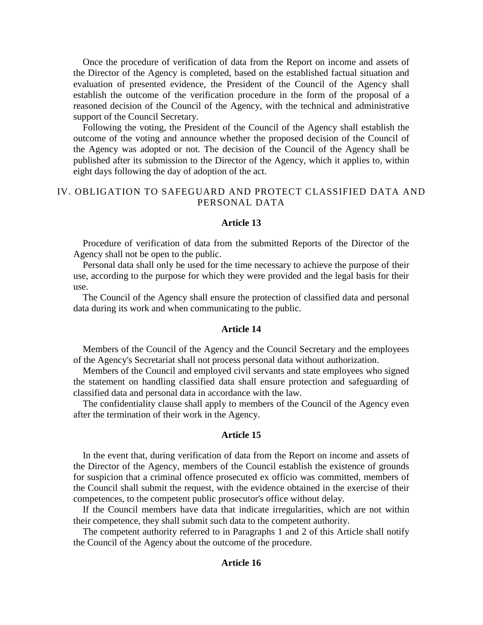Once the procedure of verification of data from the Report on income and assets of the Director of the Agency is completed, based on the established factual situation and evaluation of presented evidence, the President of the Council of the Agency shall establish the outcome of the verification procedure in the form of the proposal of a reasoned decision of the Council of the Agency, with the technical and administrative support of the Council Secretary.

Following the voting, the President of the Council of the Agency shall establish the outcome of the voting and announce whether the proposed decision of the Council of the Agency was adopted or not. The decision of the Council of the Agency shall be published after its submission to the Director of the Agency, which it applies to, within eight days following the day of adoption of the act.

# IV. OBLIGATION TO SAFEGUARD AND PROTECT CLASSIFIED DATA AND PERSONAL DATA

#### **Article 13**

Procedure of verification of data from the submitted Reports of the Director of the Agency shall not be open to the public.

Personal data shall only be used for the time necessary to achieve the purpose of their use, according to the purpose for which they were provided and the legal basis for their use.

The Council of the Agency shall ensure the protection of classified data and personal data during its work and when communicating to the public.

#### **Article 14**

Members of the Council of the Agency and the Council Secretary and the employees of the Agency's Secretariat shall not process personal data without authorization.

Members of the Council and employed civil servants and state employees who signed the statement on handling classified data shall ensure protection and safeguarding of classified data and personal data in accordance with the law.

The confidentiality clause shall apply to members of the Council of the Agency even after the termination of their work in the Agency.

# **Article 15**

In the event that, during verification of data from the Report on income and assets of the Director of the Agency, members of the Council establish the existence of grounds for suspicion that a criminal offence prosecuted ex officio was committed, members of the Council shall submit the request, with the evidence obtained in the exercise of their competences, to the competent public prosecutor's office without delay.

If the Council members have data that indicate irregularities, which are not within their competence, they shall submit such data to the competent authority.

The competent authority referred to in Paragraphs 1 and 2 of this Article shall notify the Council of the Agency about the outcome of the procedure.

#### **Article 16**